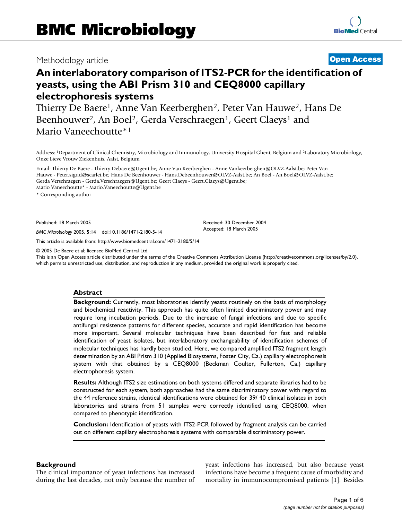### Methodology article **[Open Access](http://www.biomedcentral.com/info/about/charter/)**

# **An interlaboratory comparison of ITS2-PCR for the identification of yeasts, using the ABI Prism 310 and CEQ8000 capillary electrophoresis systems**

Thierry De Baere1, Anne Van Keerberghen2, Peter Van Hauwe2, Hans De Beenhouwer<sup>2</sup>, An Boel<sup>2</sup>, Gerda Verschraegen<sup>1</sup>, Geert Claeys<sup>1</sup> and Mario Vaneechoutte\*1

Address: 1Department of Clinical Chemistry, Microbiology and Immunology, University Hospital Ghent, Belgium and 2Laboratory Microbiology, Onze Lieve Vrouw Ziekenhuis, Aalst, Belgium

Email: Thierry De Baere - Thierry.Debaere@Ugent.be; Anne Van Keerberghen - Anne.Vankeerberghen@OLVZ-Aalst.be; Peter Van Hauwe - Peter.sigrid@scarlet.be; Hans De Beenhouwer - Hans.Debeenhouwer@OLVZ-Aalst.be; An Boel - An.Boel@OLVZ-Aalst.be; Gerda Verschraegen - Gerda.Verschraegen@Ugent.be; Geert Claeys - Geert.Claeys@Ugent.be;

Mario Vaneechoutte\* - Mario.Vaneechoutte@Ugent.be

\* Corresponding author

Published: 18 March 2005

*BMC Microbiology* 2005, **5**:14 doi:10.1186/1471-2180-5-14

[This article is available from: http://www.biomedcentral.com/1471-2180/5/14](http://www.biomedcentral.com/1471-2180/5/14)

© 2005 De Baere et al; licensee BioMed Central Ltd.

This is an Open Access article distributed under the terms of the Creative Commons Attribution License [\(http://creativecommons.org/licenses/by/2.0\)](http://creativecommons.org/licenses/by/2.0), which permits unrestricted use, distribution, and reproduction in any medium, provided the original work is properly cited.

Received: 30 December 2004 Accepted: 18 March 2005

### **Abstract**

**Background:** Currently, most laboratories identify yeasts routinely on the basis of morphology and biochemical reactivity. This approach has quite often limited discriminatory power and may require long incubation periods. Due to the increase of fungal infections and due to specific antifungal resistence patterns for different species, accurate and rapid identification has become more important. Several molecular techniques have been described for fast and reliable identification of yeast isolates, but interlaboratory exchangeability of identification schemes of molecular techniques has hardly been studied. Here, we compared amplified ITS2 fragment length determination by an ABI Prism 310 (Applied Biosystems, Foster City, Ca.) capillary electrophoresis system with that obtained by a CEQ8000 (Beckman Coulter, Fullerton, Ca.) capillary electrophoresis system.

**Results:** Although ITS2 size estimations on both systems differed and separate libraries had to be constructed for each system, both approaches had the same discriminatory power with regard to the 44 reference strains, identical identifications were obtained for 39/ 40 clinical isolates in both laboratories and strains from 51 samples were correctly identified using CEQ8000, when compared to phenotypic identification.

**Conclusion:** Identification of yeasts with ITS2-PCR followed by fragment analysis can be carried out on different capillary electrophoresis systems with comparable discriminatory power.

### **Background**

The clinical importance of yeast infections has increased during the last decades, not only because the number of yeast infections has increased, but also because yeast infections have become a frequent cause of morbidity and mortality in immunocompromised patients [1]. Besides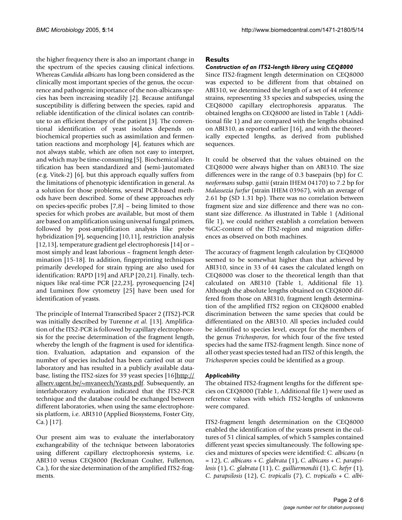the higher frequency there is also an important change in the spectrum of the species causing clinical infections. Whereas *Candida albicans* has long been considered as the clinically most important species of the genus, the occurrence and pathogenic importance of the non-albicans species has been increasing steadily [2]. Because antifungal susceptibility is differing between the species, rapid and reliable identification of the clinical isolates can contribute to an efficient therapy of the patient [3]. The conventional identification of yeast isolates depends on biochemical properties such as assimilation and fermentation reactions and morphology [4], features which are not always stable, which are often not easy to interpret, and which may be time-consuming [5]. Biochemical identification has been standardized and (semi-)automated (e.g. Vitek-2) [6], but this approach equally suffers from the limitations of phenotypic identification in general. As a solution for those problems, several PCR-based methods have been described. Some of these approaches rely on species-specific probes [7,8] – being limited to those species for which probes are available, but most of them are based on amplification using universal fungal primers, followed by post-amplification analysis like probe hybridization [9], sequencing [10,11], restriction analysis [12,13], temperature gradient gel electrophoresis [14] or – most simply and least laborious – fragment length determination [15-18]. In addition, fingerprinting techniques primarily developed for strain typing are also used for identification: RAPD [19] and AFLP [20,21]. Finally, techniques like real-time PCR [22,23], pyrosequencing [24] and Luminex flow cytometry [25] have been used for identification of yeasts.

The principle of Internal Transcribed Spacer 2 (ITS2)-PCR was initially described by Turenne *et al.* [13]. Amplification of the ITS2-PCR is followed by capillary electrophoresis for the precise determination of the fragment length, whereby the length of the fragment is used for identification. Evaluation, adaptation and expansion of the number of species included has been carried out at our laboratory and has resulted in a publicly available database, listing the ITS2-sizes for 39 yeast species [16][http://](http://allserv.ugent.be/~mvaneech/Yeasts.pdf) [allserv.ugent.be/~mvaneech/Yeasts.pdf](http://allserv.ugent.be/~mvaneech/Yeasts.pdf). Subsequently, an interlaboratory evaluation indicated that the ITS2-PCR technique and the database could be exchanged between different laboratories, when using the same electrophoresis platform, i.e. ABI310 (Applied Biosystems, Foster City, Ca.) [17].

Our present aim was to evaluate the interlaboratory exchangeability of the technique between laboratories using different capillary electrophoresis systems, i.e. ABI310 versus CEQ8000 (Beckman Coulter, Fullerton, Ca.), for the size determination of the amplified ITS2-fragments.

### **Results**

### *Construction of an ITS2-length library using CEQ8000*

Since ITS2-fragment length determination on CEQ8000 was expected to be different from that obtained on ABI310, we determined the length of a set of 44 reference strains, representing 33 species and subspecies, using the CEQ8000 capillary electrophoresis apparatus. The obtained lengths on CEQ8000 are listed in Table 1 (Additional file 1) and are compared with the lengths obtained on ABI310, as reported earlier [16], and with the theoretically expected lengths, as derived from published sequences.

It could be observed that the values obtained on the CEQ8000 were always higher than on ABI310. The size differences were in the range of 0.3 basepairs (bp) for *C. neoformans* subsp. *gattii* (strain IHEM 04170) to 7.2 bp for *Malassezia furfur* (strain IHEM 03967), with an average of 2.61 bp (SD 1.31 bp). There was no correlation between fragment size and size difference and there was no constant size difference. As illustrated in Table 1 (Aditional file 1), we could neither establish a correlation between %GC-content of the ITS2-region and migration differences as observed on both machines.

The accuracy of fragment length calculation by CEQ8000 seemed to be somewhat higher than that achieved by ABI310, since in 33 of 44 cases the calculated length on CEQ8000 was closer to the theoretical length than that calculated on ABI310 (Table 1, Additional file 1). Although the absolute lengths obtained on CEQ8000 differed from those on ABI310, fragment length determination of the amplified ITS2 region on CEQ8000 enabled discrimination between the same species that could be differentiated on the ABI310. All species included could be identified to species level, except for the members of the genus *Trichosporon*, for which four of the five tested species had the same ITS2-fragment length. Since none of all other yeast species tested had an ITS2 of this length, the *Trichosporon* species could be identified as a group.

### *Applicability*

The obtained ITS2-fragment lengths for the different species on CEQ8000 (Table 1, Additional file 1) were used as reference values with which ITS2-lengths of unknowns were compared.

ITS2-fragment length determination on the CEQ8000 enabled the identification of the yeasts present in the cultures of 51 clinical samples, of which 5 samples contained different yeast species simultaneously. The following species and mixtures of species were identified: *C. albicans* (n = 12), *C. albicans* + *C. glabrata* (1), *C. albicans* + *C. parapsilosis* (1), *C. glabrata* (11), *C. guilliermondii* (1), *C. kefyr* (1), *C. parapsilosis* (12), *C. tropicalis* (7), *C. tropicalis* + *C. albi-*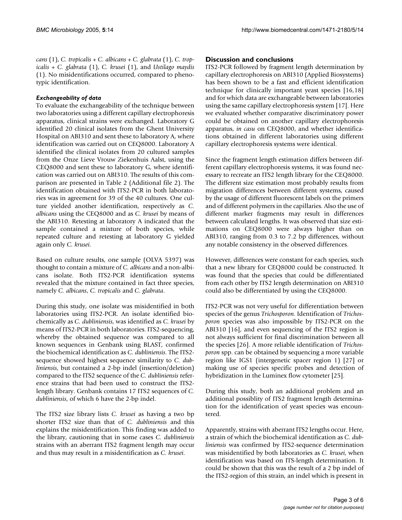*cans* (1), *C. tropicalis* + *C. albicans* + *C. glabrata* (1), *C. tropicalis* + *C. glabrata* (1), *C. krusei* (1), and *Ustilago maydis* (1). No misidentifications occurred, compared to phenotypic identification.

### *Exchangeability of data*

To evaluate the exchangeability of the technique between two laboratories using a different capillary electrophoresis apparatus, clinical strains were exchanged. Laboratory G identified 20 clinical isolates from the Ghent University Hospital on ABI310 and sent these to laboratory A, where identification was carried out on CEQ8000. Laboratory A identified the clinical isolates from 20 cultured samples from the Onze Lieve Vrouw Ziekenhuis Aalst, using the CEQ8000 and sent these to laboratory G, where identification was carried out on ABI310. The results of this comparison are presented in Table 2 (Additional file 2). The identification obtained with ITS2-PCR in both laboratories was in agreement for 39 of the 40 cultures. One culture yielded another identification, respectively as *C. albicans* using the CEQ8000 and as *C. krusei* by means of the ABI310. Retesting at laboratory A indicated that the sample contained a mixture of both species, while repeated culture and retesting at laboratory G yielded again only *C. krusei*.

Based on culture results, one sample (OLVA 5397) was thought to contain a mixture of *C. albicans* and a non-albicans isolate. Both ITS2-PCR identification systems revealed that the mixture contained in fact three species, namely *C. albicans*, *C. tropicalis* and *C. glabrata*.

During this study, one isolate was misidentified in both laboratories using ITS2-PCR. An isolate identified biochemically as *C. dubliniensis*, was identified as *C. krusei* by means of ITS2-PCR in both laboratories. ITS2-sequencing, whereby the obtained sequence was compared to all known sequences in Genbank using BLAST, confirmed the biochemical identification as *C. dubliniensis*. The ITS2 sequence showed highest sequence similarity to *C. dubliniensis*, but contained a 2-bp indel (insertion/deletion) compared to the ITS2 sequence of the *C. dubliniensis* reference strains that had been used to construct the ITS2 length library. Genbank contains 17 ITS2 sequences of *C. dubliniensis*, of which 6 have the 2-bp indel.

The ITS2 size library lists *C. krusei* as having a two bp shorter ITS2 size than that of *C. dubliniensis* and this explains the misidentification. This finding was added to the library, cautioning that in some cases *C. dubliniensis* strains with an aberrant ITS2 fragment length may occur and thus may result in a misidentification as *C. krusei*.

### **Discussion and conclusions**

ITS2-PCR followed by fragment length determination by capillary electrophoresis on ABI310 (Applied Biosystems) has been shown to be a fast and efficient identification technique for clinically important yeast species [16,18] and for which data are exchangeable between laboratories using the same capillary electrophoresis system [17]. Here we evaluated whether comparative discriminatory power could be obtained on another capillary electrophoresis apparatus, *in casu* on CEQ8000, and whether identifications obtained in different laboratories using different capillary electrophoresis systems were identical.

Since the fragment length estimation differs between different capillary electrophoresis systems, it was found necessary to recreate an ITS2 length library for the CEQ8000. The different size estimation most probably results from migration differences between different systems, caused by the usage of different fluorescent labels on the primers and of different polymers in the capillaries. Also the use of different marker fragments may result in differences between calculated lengths. It was observed that size estimations on CEQ8000 were always higher than on ABI310, ranging from 0.3 to 7.2 bp differences, without any notable consistency in the observed differences.

However, differences were constant for each species, such that a new library for CEQ8000 could be constructed. It was found that the species that could be differentiated from each other by ITS2 length determination on ABI310 could also be differentiated by using the CEQ8000.

ITS2-PCR was not very useful for differentiation between species of the genus *Trichosporon*. Identification of *Trichosporon* species was also impossible by ITS2-PCR on the ABI310 [16], and even sequencing of the ITS2 region is not always sufficient for final discrimination between all the species [26]. A more reliable identification of *Trichosporon* spp. can be obtained by sequencing a more variable region like IGS1 (intergenetic spacer region 1) [27] or making use of species specific probes and detection of hybridization in the Luminex flow cytometer [25].

During this study, both an additional problem and an additional possiblity of ITS2 fragment length determination for the identification of yeast species was encountered.

Apparently, strains with aberrant ITS2 lengths occur. Here, a strain of which the biochemical identification as *C. dubliniensis* was confirmed by ITS2-sequence determination was misidentified by both laboratories as *C. krusei*, when identification was based on ITS-length determination. It could be shown that this was the result of a 2 bp indel of the ITS2-region of this strain, an indel which is present in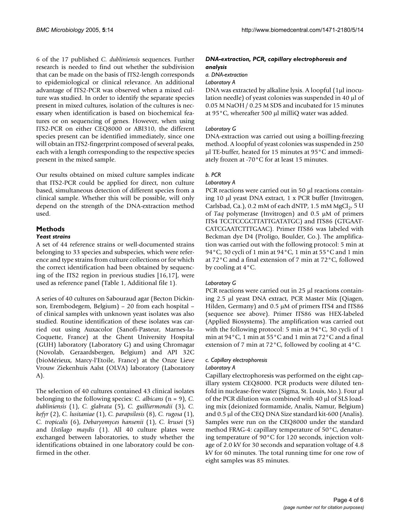6 of the 17 published *C. dubliniensis* sequences. Further research is needed to find out whether the subdivision that can be made on the basis of ITS2-length corresponds to epidemiological or clinical relevance. An additional advantage of ITS2-PCR was observed when a mixed culture was studied. In order to identify the separate species present in mixed cultures, isolation of the cultures is necessary when identification is based on biochemical features or on sequencing of genes. However, when using ITS2-PCR on either CEQ8000 or ABI310, the different species present can be identified immediately, since one will obtain an ITS2-fingerprint composed of several peaks, each with a length corresponding to the respective species present in the mixed sample.

Our results obtained on mixed culture samples indicate that ITS2-PCR could be applied for direct, non culture based, simultaneous detection of different species from a clinical sample. Whether this will be possible, will only depend on the strength of the DNA-extraction method used.

### **Methods**

### *Yeast strains*

A set of 44 reference strains or well-documented strains belonging to 33 species and subspecies, which were reference and type strains from culture collections or for which the correct identification had been obtained by sequencing of the ITS2 region in previous studies [16,17], were used as reference panel (Table 1, Additional file 1).

A series of 40 cultures on Sabouraud agar (Becton Dickinson, Erembodegem, Belgium) – 20 from each hospital – of clinical samples with unknown yeast isolates was also studied. Routine identification of these isolates was carried out using Auxacolor (Sanofi-Pasteur, Marnes-la-Coquette, France) at the Ghent University Hospital (GUH) laboratory (Laboratory G) and using Chromagar (Novolab, Geraardsbergen, Belgium) and API 32C (bioMérieux, Marcy-l'Etoile, France) at the Onze Lieve Vrouw Ziekenhuis Aalst (OLVA) laboratory (Laboratory A).

The selection of 40 cultures contained 43 clinical isolates belonging to the following species: *C. albicans* (n = 9), *C. dubliniensis* (1), *C. glabrata* (5), *C. guilliermondii* (3), *C. kefyr* (2), *C. lusitaniae* (1), *C. parapsilosis* (8), *C. rugosa* (1), *C. tropicalis* (6), *Debaryomyces hansenii* (1), *C. krusei* (5) and *Ustilago maydis* (1). All 40 culture plates were exchanged between laboratories, to study whether the identifications obtained in one laboratory could be confirmed in the other.

### *DNA-extraction, PCR, capillary electrophoresis and analysis*

*a. DNA-extraction*

#### *Laboratory A*

DNA was extracted by alkaline lysis. A loopful (1µl inoculation needle) of yeast colonies was suspended in 40 µl of 0.05 M NaOH / 0.25 M SDS and incubated for 15 minutes at 95°C, whereafter 500 µl milliQ water was added.

### *Laboratory G*

DNA-extraction was carried out using a boilling-freezing method. A loopful of yeast colonies was suspended in 250 µl TE-buffer, heated for 15 minutes at 95°C and immediately frozen at -70°C for at least 15 minutes.

## *b. PCR*

### *Laboratory A*

PCR reactions were carried out in 50 µl reactions containing 10 µl yeast DNA extract, 1 x PCR buffer (Invitrogen, Carlsbad, Ca.), 0.2 mM of each dNTP, 1.5 mM  $MgCl<sub>2</sub>$ , 5 U of *Taq* polymerase (Invitrogen) and 0.5 µM of primers ITS4 TCCTCCGCTTATTGATATGC) and ITS86 (GTGAAT-CATCGAATCTTTGAAC). Primer ITS86 was labeled with Beckman dye D4 (Proligo, Boulder, Co.). The amplification was carried out with the following protocol: 5 min at 94°C, 30 cycli of 1 min at 94°C, 1 min at 55°C and 1 min at 72°C and a final extension of 7 min at 72°C, followed by cooling at 4°C.

### *Laboratory G*

PCR reactions were carried out in 25 µl reactions containing 2.5 µl yeast DNA extract, PCR Master Mix (Qiagen, Hilden, Germany) and 0.5 µM of primers ITS4 and ITS86 (sequence see above). Primer ITS86 was HEX-labeled (Applied Biosystems). The amplification was carried out with the following protocol: 5 min at 94°C, 30 cycli of 1 min at 94°C, 1 min at 55°C and 1 min at 72°C and a final extension of 7 min at 72°C, followed by cooling at 4°C.

### *c. Capillary electrophoresis*

### *Laboratory A*

Capillary electrophoresis was performed on the eight capillary system CEQ8000. PCR products were diluted tenfold in nuclease-free water (Sigma, St. Louis, Mo.). Four µl of the PCR dilution was combined with 40 µl of SLS loading mix (deionized formamide, Analis, Namur, Belgium) and 0.5 µl of the CEQ DNA Size standard kit-600 (Analis). Samples were run on the CEQ8000 under the standard method FRAG-4: capillary temperature of 50°C, denaturing temperature of 90°C for 120 seconds, injection voltage of 2.0 kV for 30 seconds and separation voltage of 4.8 kV for 60 minutes. The total running time for one row of eight samples was 85 minutes.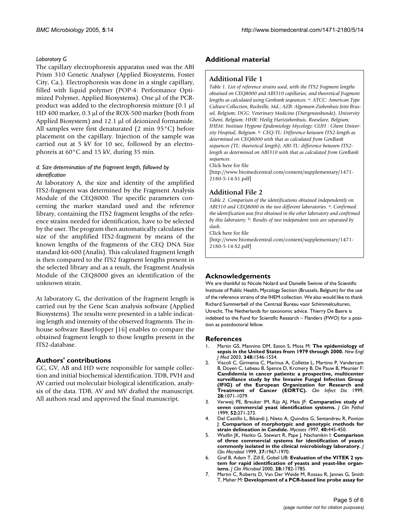### *Laboratory G*

The capillary electrophoresis apparatus used was the ABI Prism 310 Genetic Analyser (Applied Biosystems, Foster City, Ca.). Electrophoresis was done in a single capillary, filled with liquid polymer (POP-4: Performance Optimized Polymer, Applied Biosystems). One µl of the PCRproduct was added to the electrophoresis mixture (0.1 µl HD 400 marker, 0.3 µl of the ROX-500 marker (both from Applied Biosystem) and 12.1 µl of deionized formamide. All samples were first denaturated (2 min 95°C) before placement on the capillary. Injection of the sample was carried out at 5 kV for 10 sec, followed by an electrophoreis at 60°C and 15 kV, during 35 min.

### *d. Size determination of the fragment length, followed by identification*

At laboratory A, the size and identity of the amplified ITS2-fragment was determined by the Fragment Analysis Module of the CEQ8000. The specific parameters concerning the marker standard used and the reference library, containing the ITS2 fragment lengths of the reference strains needed for identification, have to be selected by the user. The program then automatically calculates the size of the amplified ITS2-fragment by means of the known lengths of the fragments of the CEQ DNA Size standard kit-600 (Analis). This calculated fragment length is then compared to the ITS2 fragment lengths present in the selected library and as a result, the Fragment Analysis Module of the CEQ8000 gives an identification of the unknown strain.

At laboratory G, the derivation of the fragment length is carried out by the Gene Scan analysis software (Applied Biosystems). The results were presented in a table indicating length and intensity of the observed fragments. The inhouse software BaseHopper [16] enables to compare the obtained fragment length to those lengths present in the ITS2-database.

### **Authors' contributions**

GC, GV, AB and HD were responsible for sample collection and initial biochemical identification. TDB, PVH and AV carried out moleculair biological identification, analysis of the data. TDB, AV and MV drafted the manuscript. All authors read and approved the final manuscript.

### **Additional material**

### **Additional File 1**

*Table 1. List of reference strains used, with the ITS2 fragment lengths obtained on CEQ8000 and ABI310 capillaries, and theoretical fragment lengths as calculated using Genbank seqeunces. a: ATCC: American Type Culture Collection, Rockville, Md.; AZB: Algemeen Ziekenhuis Jette Brussel, Belgium; DGG: Veterinary Medicine (Diergeneeskunde), University Ghent, Belgium; HHR: Heilig Hartziekenhuis, Roeselare, Belgium; IHEM: Institute Hygiene Epidemiology Mycology; GUH : Ghent University Hospital, Belgium. b: CEQ-TL: Difference between ITS2-length as determined on CEQ8000 with that as calculated from GenBank sequences (TL: theoretical length); ABI-TL: difference between ITS2 length as determined on ABI310 with that as calculated from GenBank sequences.*

Click here for file

[\[http://www.biomedcentral.com/content/supplementary/1471-](http://www.biomedcentral.com/content/supplementary/1471-2180-5-14-S1.pdf) 2180-5-14-S1.pdf]

### **Additional File 2**

*Table 2. Comparison of the identifications obtained independently on ABI310 and CEQ8000 in the two different laboratories. a: Confirmed: the identification was first obtained in the other laboratory and confirmed by this laboratory. b: Results of two independent tests are separated by slash.*

Click here for file

[\[http://www.biomedcentral.com/content/supplementary/1471-](http://www.biomedcentral.com/content/supplementary/1471-2180-5-14-S2.pdf) 2180-5-14-S2.pdf]

### **Acknowledgements**

We are thankful to Nicole Nolard and Danielle Swinne of the Scientific Institute of Public Health, Mycology Section (Brussels, Belgium) for the use of the reference strains of the IHEM collection. We also would like to thank Richard Summerbell of the Centraal Bureau voor Schimmelculturen, Utrecht, The Netherlands for taxonomic advice. Thierry De Baere is indebted to the Fund for Scientific Research – Flanders (FWO) for a position as postdoctoral fellow.

#### **References**

- 1. Martin GS, Mannino DM, Eaton S, Moss M: **[The epidemiology of](http://www.ncbi.nlm.nih.gov/entrez/query.fcgi?cmd=Retrieve&db=PubMed&dopt=Abstract&list_uids=12700374) [sepsis in the United States from 1979 through 2000.](http://www.ncbi.nlm.nih.gov/entrez/query.fcgi?cmd=Retrieve&db=PubMed&dopt=Abstract&list_uids=12700374)** *New Engl J Med* 2003, **348:**1546-1554.
- 2. Viscoli C, Girmenia C, Marinus A, Collette L, Martino P, Vandercam B, Doyen C, Lebeau B, Spence D, Krcmery B, De Pauw B, Meunier F: **[Candidemia in cancer patients: a prospective, multicenter](http://www.ncbi.nlm.nih.gov/entrez/query.fcgi?cmd=Retrieve&db=PubMed&dopt=Abstract&list_uids=10452637) surveillance study by the Invasive Fungal Infection Group (IFIG) of the European Organization for Research and [Treatment of Cancer \(EORTC\).](http://www.ncbi.nlm.nih.gov/entrez/query.fcgi?cmd=Retrieve&db=PubMed&dopt=Abstract&list_uids=10452637)** *Clin Infect Dis* 1999, **28:**1071-1079.
- 3. Verweij PE, Breuker IM, Rijs AJ, Meis JF: **[Comparative study of](http://www.ncbi.nlm.nih.gov/entrez/query.fcgi?cmd=Retrieve&db=PubMed&dopt=Abstract&list_uids=10474518) [seven commercial yeast identification systems.](http://www.ncbi.nlm.nih.gov/entrez/query.fcgi?cmd=Retrieve&db=PubMed&dopt=Abstract&list_uids=10474518)** *J Clin Pathol* 1999, **52:**271-273.
- 4. Del Castillo L, Bikandi J, Nieto A, Quindos G, Sentandreu R, Ponton J: **Comparison of morphotypic and genotypic methods for strain delineation in** *Candida***[.](http://www.ncbi.nlm.nih.gov/entrez/query.fcgi?cmd=Retrieve&db=PubMed&dopt=Abstract&list_uids=9470410)** *Mycoses* 1997, **40:**445-450.
- 5. Wadlin JK, Hanko G, Stewart R, Pape J, Nachamkin I: **[Comparison](http://www.ncbi.nlm.nih.gov/entrez/query.fcgi?cmd=Retrieve&db=PubMed&dopt=Abstract&list_uids=10325356) [of three commercial systems for identification of yeasts](http://www.ncbi.nlm.nih.gov/entrez/query.fcgi?cmd=Retrieve&db=PubMed&dopt=Abstract&list_uids=10325356) [commonly isolated in the clinical microbiology laboratory.](http://www.ncbi.nlm.nih.gov/entrez/query.fcgi?cmd=Retrieve&db=PubMed&dopt=Abstract&list_uids=10325356)** *J Clin Microbiol* 1999, **37:**1967-1970.
- 6. Graf B, Adam T, Zill E, Gobel UB: **[Evaluation of the VITEK 2 sys](http://www.ncbi.nlm.nih.gov/entrez/query.fcgi?cmd=Retrieve&db=PubMed&dopt=Abstract&list_uids=10790099)[tem for rapid identification of yeasts and yeast-like organ](http://www.ncbi.nlm.nih.gov/entrez/query.fcgi?cmd=Retrieve&db=PubMed&dopt=Abstract&list_uids=10790099)[isms.](http://www.ncbi.nlm.nih.gov/entrez/query.fcgi?cmd=Retrieve&db=PubMed&dopt=Abstract&list_uids=10790099)** *J Clin Microbiol* 2000, **38:**1782-1785.
- 7. Martin C, Roberts D, Van Der Weide M, Rossau R, Jannes G, Smith T, Maher M: **[Development of a PCR-based line probe assay for](http://www.ncbi.nlm.nih.gov/entrez/query.fcgi?cmd=Retrieve&db=PubMed&dopt=Abstract&list_uids=11015393)**